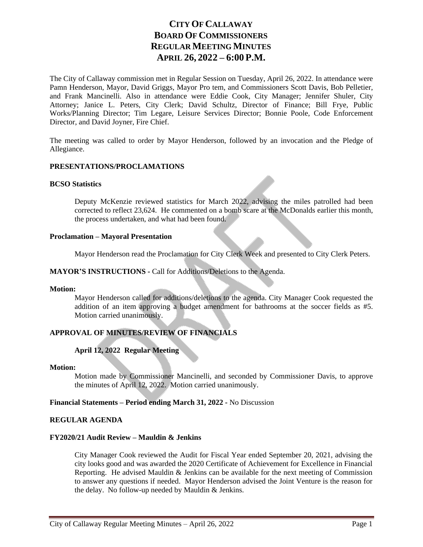# **CITY OF CALLAWAY BOARD OF COMMISSIONERS REGULAR MEETING MINUTES APRIL 26, 2022 – 6:00 P.M.**

The City of Callaway commission met in Regular Session on Tuesday, April 26, 2022. In attendance were Pamn Henderson, Mayor, David Griggs, Mayor Pro tem, and Commissioners Scott Davis, Bob Pelletier, and Frank Mancinelli. Also in attendance were Eddie Cook, City Manager; Jennifer Shuler, City Attorney; Janice L. Peters, City Clerk; David Schultz, Director of Finance; Bill Frye, Public Works/Planning Director; Tim Legare, Leisure Services Director; Bonnie Poole, Code Enforcement Director, and David Joyner, Fire Chief.

The meeting was called to order by Mayor Henderson, followed by an invocation and the Pledge of Allegiance.

# **PRESENTATIONS/PROCLAMATIONS**

#### **BCSO Statistics**

Deputy McKenzie reviewed statistics for March 2022, advising the miles patrolled had been corrected to reflect 23,624. He commented on a bomb scare at the McDonalds earlier this month, the process undertaken, and what had been found.

#### **Proclamation – Mayoral Presentation**

Mayor Henderson read the Proclamation for City Clerk Week and presented to City Clerk Peters.

# **MAYOR'S INSTRUCTIONS -** Call for Additions/Deletions to the Agenda.

#### **Motion:**

Mayor Henderson called for additions/deletions to the agenda. City Manager Cook requested the addition of an item approving a budget amendment for bathrooms at the soccer fields as #5. Motion carried unanimously.

# **APPROVAL OF MINUTES/REVIEW OF FINANCIALS**

# **April 12, 2022 Regular Meeting**

#### **Motion:**

Motion made by Commissioner Mancinelli, and seconded by Commissioner Davis, to approve the minutes of April 12, 2022. Motion carried unanimously.

# **Financial Statements – Period ending March 31, 2022 -** No Discussion

#### **REGULAR AGENDA**

#### **FY2020/21 Audit Review – Mauldin & Jenkins**

City Manager Cook reviewed the Audit for Fiscal Year ended September 20, 2021, advising the city looks good and was awarded the 2020 Certificate of Achievement for Excellence in Financial Reporting. He advised Mauldin  $&$  Jenkins can be available for the next meeting of Commission to answer any questions if needed. Mayor Henderson advised the Joint Venture is the reason for the delay. No follow-up needed by Mauldin & Jenkins.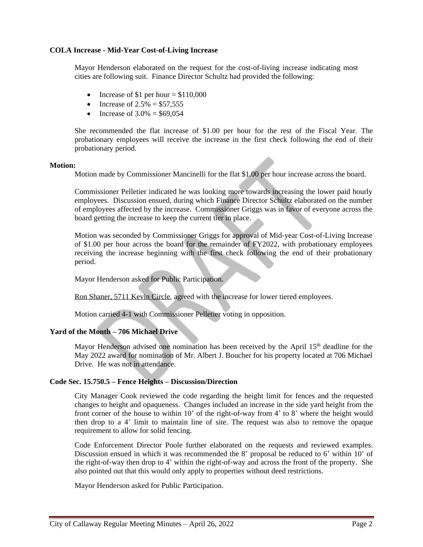#### **COLA Increase - Mid-Year Cost-of-Living Increase**

Mayor Henderson elaborated on the request for the cost-of-living increase indicating most cities are following suit. Finance Director Schultz had provided the following:

- Increase of \$1 per hour  $= $110,000$
- Increase of  $2.5% = $57.555$
- Increase of  $3.0\% = $69,054$

She recommended the flat increase of \$1.00 per hour for the rest of the Fiscal Year. The probationary employees will receive the increase in the first check following the end of their probationary period.

#### **Motion:**

Motion made by Commissioner Mancinelli for the flat \$1.00 per hour increase across the board.

Commissioner Pelletier indicated he was looking more towards increasing the lower paid hourly employees. Discussion ensued, during which Finance Director Schultz elaborated on the number of employees affected by the increase. Commissioner Griggs was in favor of everyone across the board getting the increase to keep the current tier in place.

Motion was seconded by Commissioner Griggs for approval of Mid-year Cost-of-Living Increase of \$1.00 per hour across the board for the remainder of FY2022, with probationary employees receiving the increase beginning with the first check following the end of their probationary period.

Mayor Henderson asked for Public Participation.

Ron Shaner, 5711 Kevin Circle, agreed with the increase for lower tiered employees.

Motion carried 4-1 with Commissioner Pelletier voting in opposition.

# **Yard of the Month – 706 Michael Drive**

Mayor Henderson advised one nomination has been received by the April 15<sup>th</sup> deadline for the May 2022 award for nomination of Mr. Albert J. Boucher for his property located at 706 Michael Drive. He was not in attendance.

# **Code Sec. 15.750.5 – Fence Heights – Discussion/Direction**

City Manager Cook reviewed the code regarding the height limit for fences and the requested changes to height and opaqueness. Changes included an increase in the side yard height from the front corner of the house to within 10' of the right-of-way from 4' to 8' where the height would then drop to a 4' limit to maintain line of site. The request was also to remove the opaque requirement to allow for solid fencing.

Code Enforcement Director Poole further elaborated on the requests and reviewed examples. Discussion ensued in which it was recommended the 8' proposal be reduced to 6' within 10' of the right-of-way then drop to 4' within the right-of-way and across the front of the property. She also pointed out that this would only apply to properties without deed restrictions.

Mayor Henderson asked for Public Participation.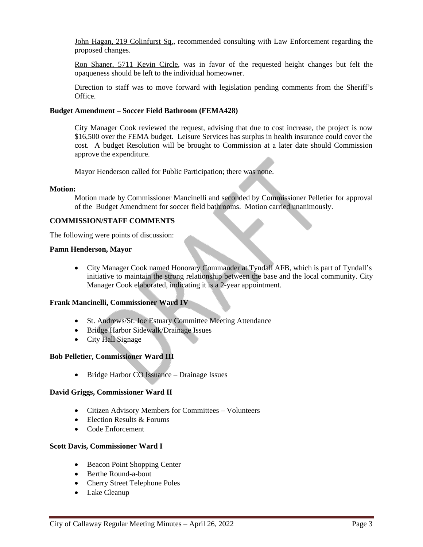John Hagan, 219 Colinfurst Sq., recommended consulting with Law Enforcement regarding the proposed changes.

Ron Shaner, 5711 Kevin Circle, was in favor of the requested height changes but felt the opaqueness should be left to the individual homeowner.

Direction to staff was to move forward with legislation pending comments from the Sheriff's Office.

#### **Budget Amendment – Soccer Field Bathroom (FEMA428)**

City Manager Cook reviewed the request, advising that due to cost increase, the project is now \$16,500 over the FEMA budget. Leisure Services has surplus in health insurance could cover the cost. A budget Resolution will be brought to Commission at a later date should Commission approve the expenditure.

Mayor Henderson called for Public Participation; there was none.

#### **Motion:**

Motion made by Commissioner Mancinelli and seconded by Commissioner Pelletier for approval of the Budget Amendment for soccer field bathrooms. Motion carried unanimously.

# **COMMISSION/STAFF COMMENTS**

The following were points of discussion:

#### **Pamn Henderson, Mayor**

 City Manager Cook named Honorary Commander at Tyndall AFB, which is part of Tyndall's initiative to maintain the strong relationship between the base and the local community. City Manager Cook elaborated, indicating it is a 2-year appointment.

# **Frank Mancinelli, Commissioner Ward IV**

- St. Andrews/St. Joe Estuary Committee Meeting Attendance
- Bridge Harbor Sidewalk/Drainage Issues
- City Hall Signage

# **Bob Pelletier, Commissioner Ward III**

• Bridge Harbor CO Issuance – Drainage Issues

# **David Griggs, Commissioner Ward II**

- Citizen Advisory Members for Committees Volunteers
- $\bullet$  Election Results & Forums
- Code Enforcement

# **Scott Davis, Commissioner Ward I**

- Beacon Point Shopping Center
- Berthe Round-a-bout
- Cherry Street Telephone Poles
- Lake Cleanup